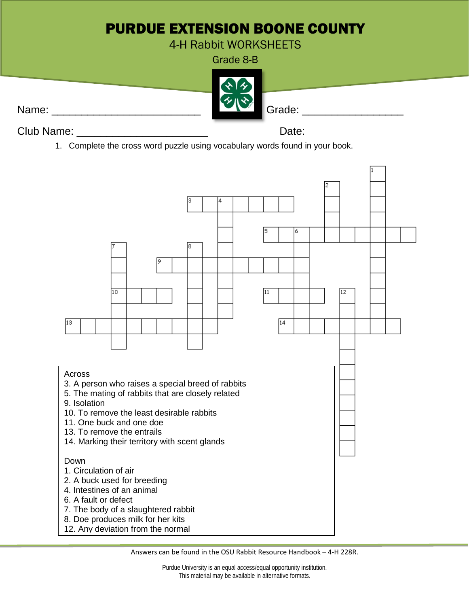## PURDUE EXTENSION BOONE COUNTY

4-H Rabbit WORKSHEETS

Grade 8-B



Club Name: \_\_\_\_\_\_\_\_\_\_\_\_\_\_\_\_\_\_\_\_\_\_ Date:

1. Complete the cross word puzzle using vocabulary words found in your book.



Answers can be found in the OSU Rabbit Resource Handbook – 4-H 228R.